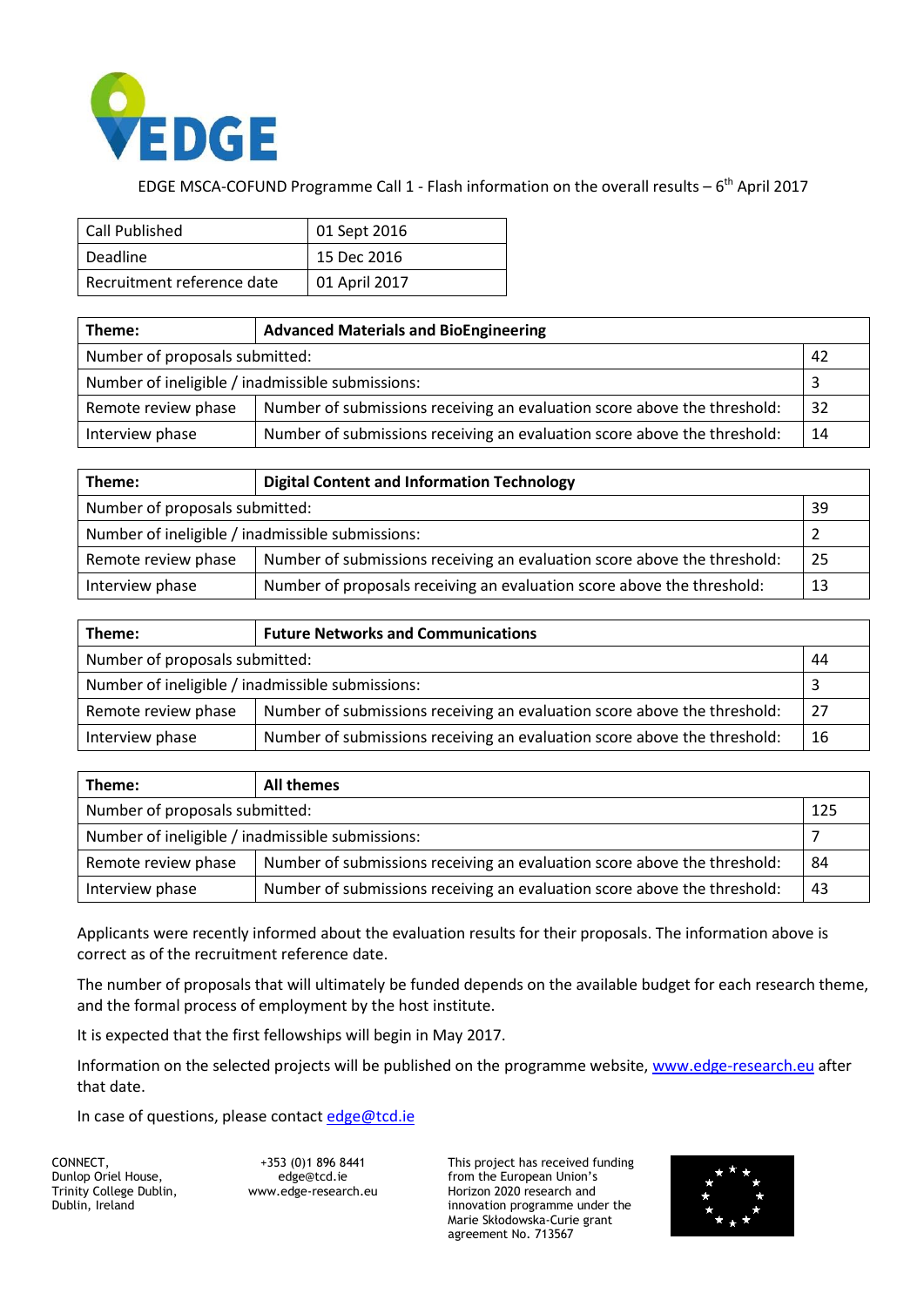

EDGE MSCA-COFUND Programme Call 1 - Flash information on the overall results  $-6$ <sup>th</sup> April 2017

| Call Published             | 01 Sept 2016  |  |
|----------------------------|---------------|--|
| Deadline                   | 15 Dec 2016   |  |
| Recruitment reference date | 01 April 2017 |  |

| Theme:                                           | <b>Advanced Materials and BioEngineering</b>                             |    |  |
|--------------------------------------------------|--------------------------------------------------------------------------|----|--|
| Number of proposals submitted:<br>42             |                                                                          |    |  |
| Number of ineligible / inadmissible submissions: |                                                                          |    |  |
| Remote review phase                              | Number of submissions receiving an evaluation score above the threshold: | 32 |  |
| Interview phase                                  | Number of submissions receiving an evaluation score above the threshold: | 14 |  |

| Theme:                                           | <b>Digital Content and Information Technology</b>                        |    |  |
|--------------------------------------------------|--------------------------------------------------------------------------|----|--|
| Number of proposals submitted:<br>39             |                                                                          |    |  |
| Number of ineligible / inadmissible submissions: |                                                                          |    |  |
| Remote review phase                              | Number of submissions receiving an evaluation score above the threshold: | 25 |  |
| Interview phase                                  | Number of proposals receiving an evaluation score above the threshold:   | 13 |  |

| Theme:                                           | <b>Future Networks and Communications</b>                                |    |  |
|--------------------------------------------------|--------------------------------------------------------------------------|----|--|
| Number of proposals submitted:<br>44             |                                                                          |    |  |
| Number of ineligible / inadmissible submissions: |                                                                          |    |  |
| Remote review phase                              | Number of submissions receiving an evaluation score above the threshold: | 27 |  |
| Interview phase                                  | Number of submissions receiving an evaluation score above the threshold: | 16 |  |

| Theme:                                           | All themes                                                               |    |  |
|--------------------------------------------------|--------------------------------------------------------------------------|----|--|
| Number of proposals submitted:<br>125            |                                                                          |    |  |
| Number of ineligible / inadmissible submissions: |                                                                          |    |  |
| Remote review phase                              | Number of submissions receiving an evaluation score above the threshold: | 84 |  |
| Interview phase                                  | Number of submissions receiving an evaluation score above the threshold: | 43 |  |

Applicants were recently informed about the evaluation results for their proposals. The information above is correct as of the recruitment reference date.

The number of proposals that will ultimately be funded depends on the available budget for each research theme, and the formal process of employment by the host institute.

It is expected that the first fellowships will begin in May 2017.

Information on the selected projects will be published on the programme website, [www.edge-research.eu](http://www.edge-research.eu/) after that date.

In case of questions, please contact [edge@tcd.ie](mailto:edge@tcd.ie)

CONNECT, Dunlop Oriel House, Trinity College Dublin, Dublin, Ireland

+353 (0)1 896 8441 edge@tcd.ie [www.edge-research.eu](http://www.edge-research.eu/) This project has received funding from the European Union's Horizon 2020 research and innovation programme under the Marie Skłodowska-Curie grant agreement No. 713567

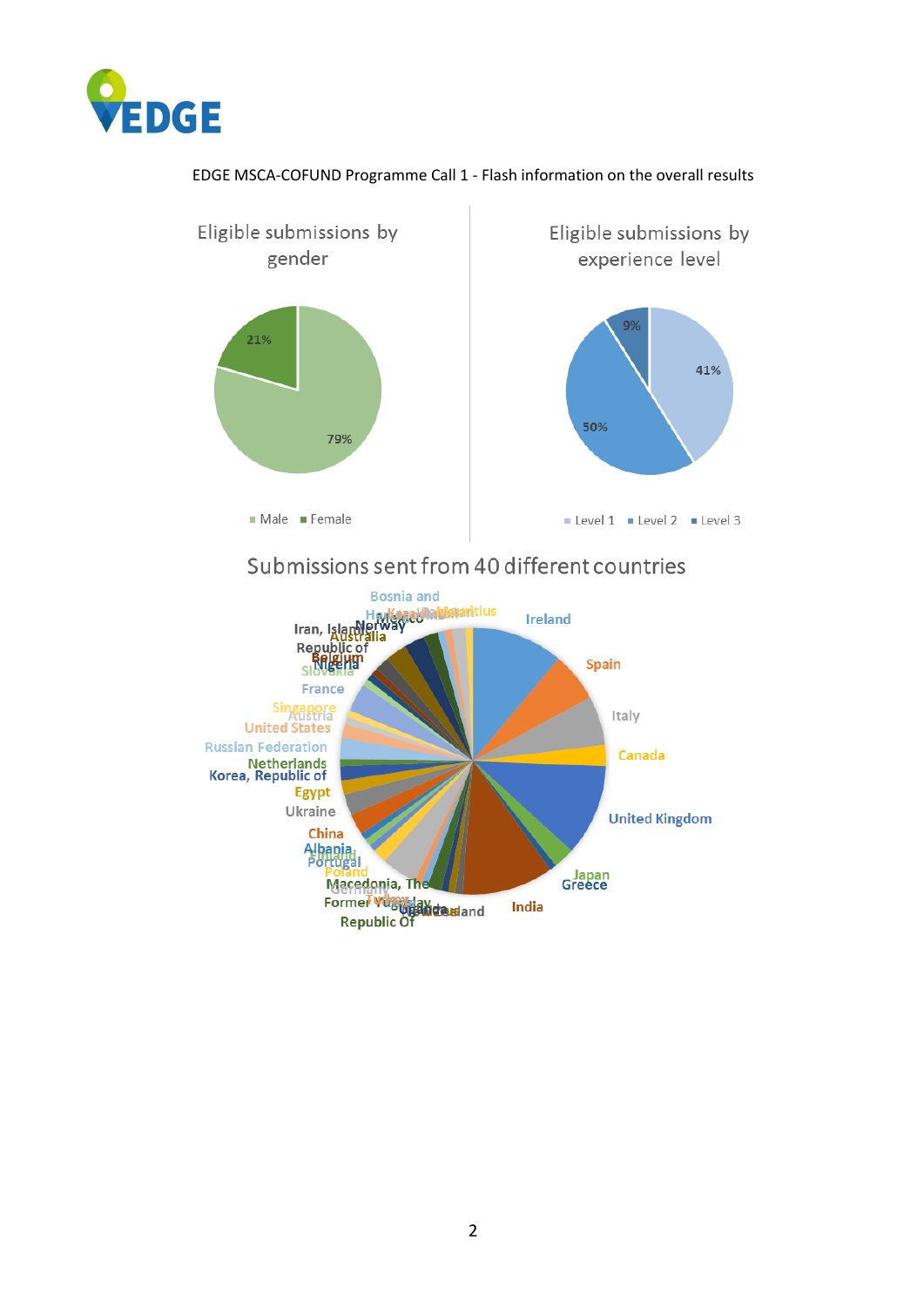

## EDGE MSCA-COFUND Programme Call 1 - Flash information on the overall results



## Submissions sent from 40 different countries

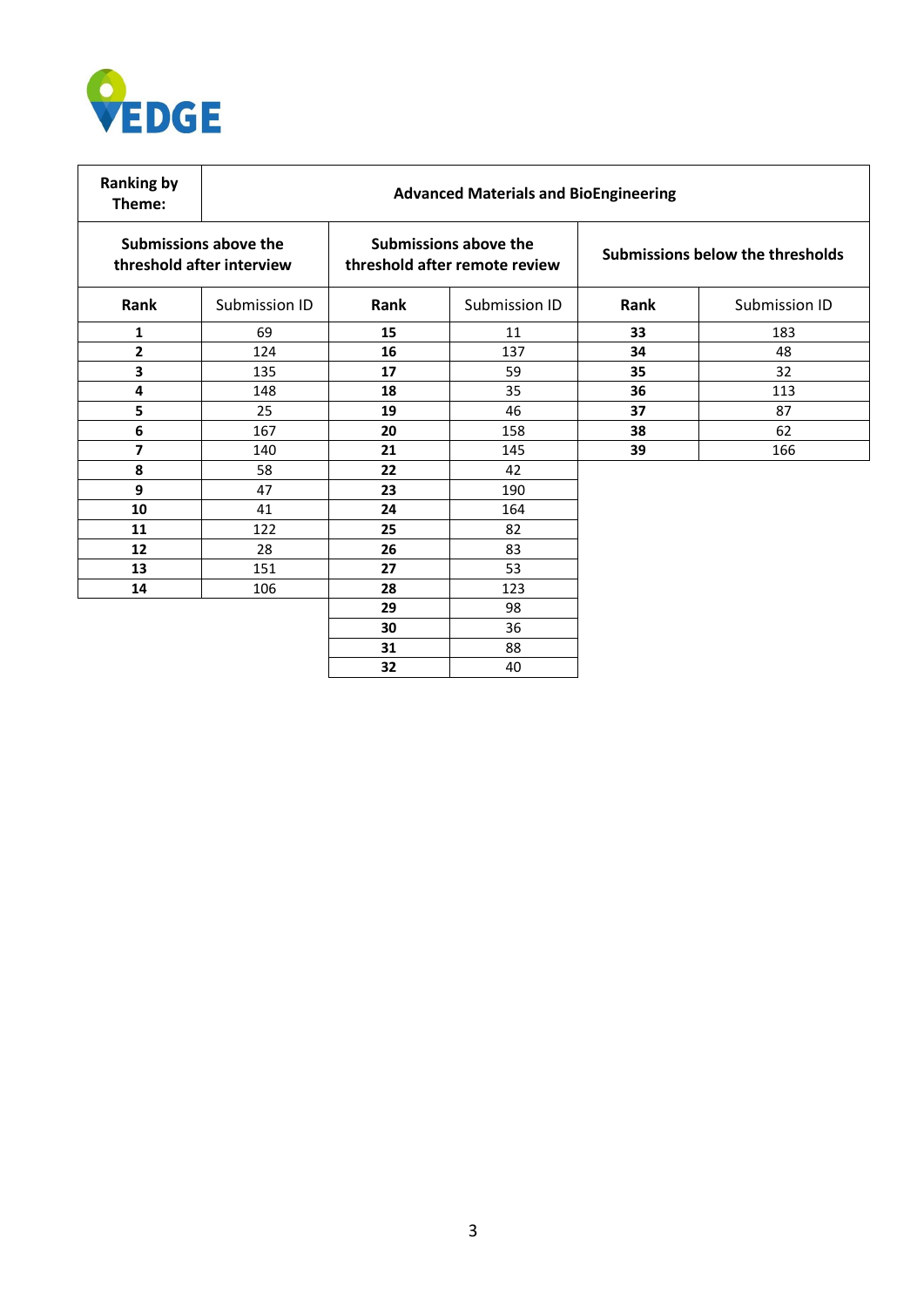

| <b>Ranking by</b><br>Theme:                        | <b>Advanced Materials and BioEngineering</b> |                                                        |               |                                  |               |
|----------------------------------------------------|----------------------------------------------|--------------------------------------------------------|---------------|----------------------------------|---------------|
| Submissions above the<br>threshold after interview |                                              | Submissions above the<br>threshold after remote review |               | Submissions below the thresholds |               |
| Rank                                               | Submission ID                                | Rank                                                   | Submission ID | Rank                             | Submission ID |
| 1                                                  | 69                                           | 15                                                     | 11            | 33                               | 183           |
| 2                                                  | 124                                          | 16                                                     | 137           | 34                               | 48            |
| 3                                                  | 135                                          | 17                                                     | 59            | 35                               | 32            |
| 4                                                  | 148                                          | 18                                                     | 35            | 36                               | 113           |
| 5                                                  | 25                                           | 19                                                     | 46            | 37                               | 87            |
| 6                                                  | 167                                          | 20                                                     | 158           | 38                               | 62            |
| 7                                                  | 140                                          | 21                                                     | 145           | 39                               | 166           |
| 8                                                  | 58                                           | 22                                                     | 42            |                                  |               |
| 9                                                  | 47                                           | 23                                                     | 190           |                                  |               |
| 10                                                 | 41                                           | 24                                                     | 164           |                                  |               |
| 11                                                 | 122                                          | 25                                                     | 82            |                                  |               |
| 12                                                 | 28                                           | 26                                                     | 83            |                                  |               |
| 13                                                 | 151                                          | 27                                                     | 53            |                                  |               |
| 14                                                 | 106                                          | 28                                                     | 123           |                                  |               |
|                                                    |                                              | 29                                                     | 98            |                                  |               |
|                                                    |                                              | 30                                                     | 36            |                                  |               |
|                                                    |                                              | 31                                                     | 88            |                                  |               |
|                                                    |                                              | 32                                                     | 40            |                                  |               |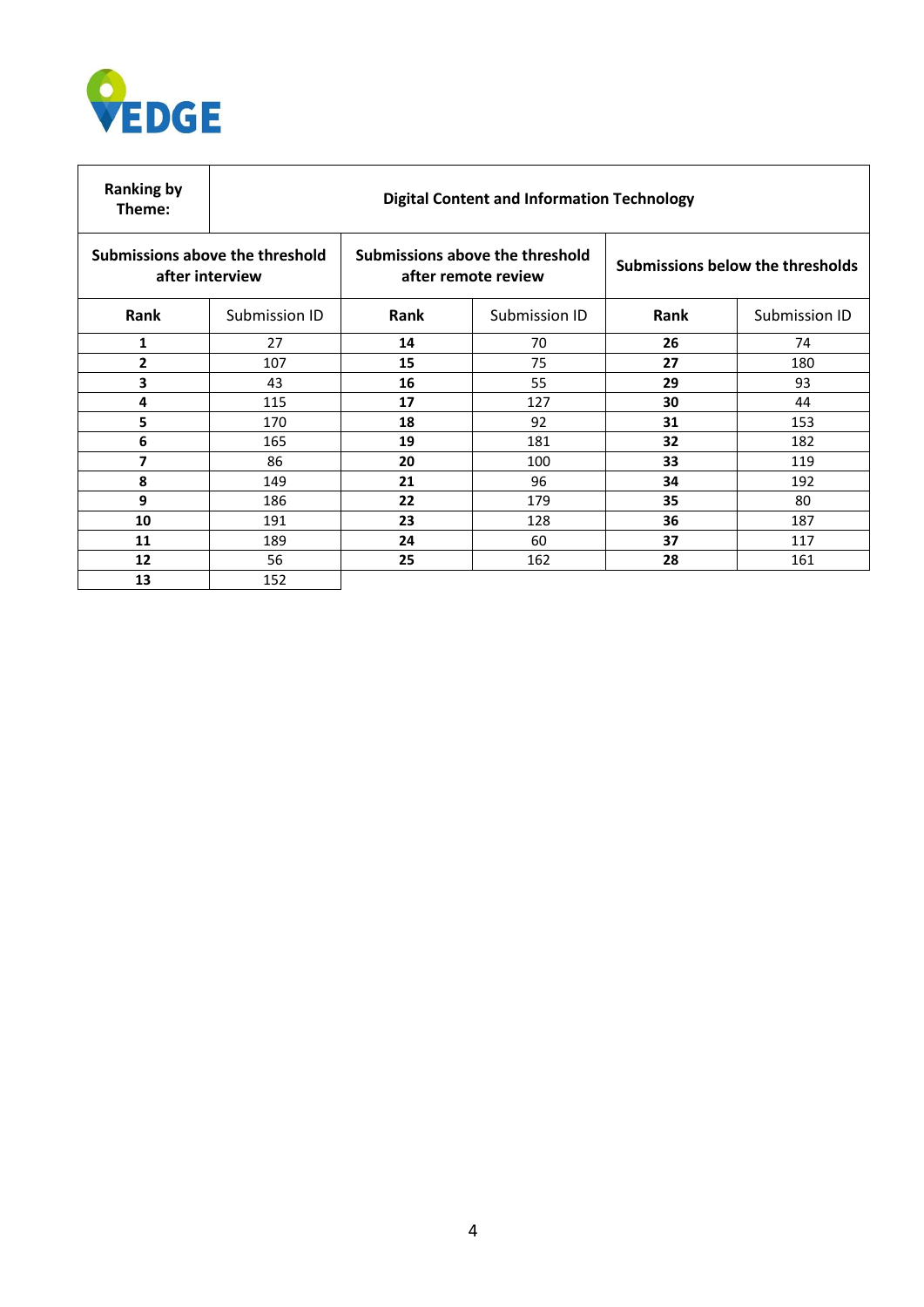

| <b>Ranking by</b><br>Theme:                        | <b>Digital Content and Information Technology</b> |                                                        |               |                                         |               |  |
|----------------------------------------------------|---------------------------------------------------|--------------------------------------------------------|---------------|-----------------------------------------|---------------|--|
| Submissions above the threshold<br>after interview |                                                   | Submissions above the threshold<br>after remote review |               | <b>Submissions below the thresholds</b> |               |  |
| Rank                                               | Submission ID                                     | Rank                                                   | Submission ID | Rank                                    | Submission ID |  |
| 1                                                  | 27                                                | 14                                                     | 70            | 26                                      | 74            |  |
| $\overline{2}$                                     | 107                                               | 15                                                     | 75            | 27                                      | 180           |  |
| 3                                                  | 43                                                | 16                                                     | 55            | 29                                      | 93            |  |
| 4                                                  | 115                                               | 17                                                     | 127           | 30                                      | 44            |  |
| 5                                                  | 170                                               | 18                                                     | 92            | 31                                      | 153           |  |
| 6                                                  | 165                                               | 19                                                     | 181           | 32                                      | 182           |  |
| 7                                                  | 86                                                | 20                                                     | 100           | 33                                      | 119           |  |
| 8                                                  | 149                                               | 21                                                     | 96            | 34                                      | 192           |  |
| 9                                                  | 186                                               | 22                                                     | 179           | 35                                      | 80            |  |
| 10                                                 | 191                                               | 23                                                     | 128           | 36                                      | 187           |  |
| 11                                                 | 189                                               | 24                                                     | 60            | 37                                      | 117           |  |
| 12                                                 | 56                                                | 25                                                     | 162           | 28                                      | 161           |  |
| 13                                                 | 152                                               |                                                        |               |                                         |               |  |